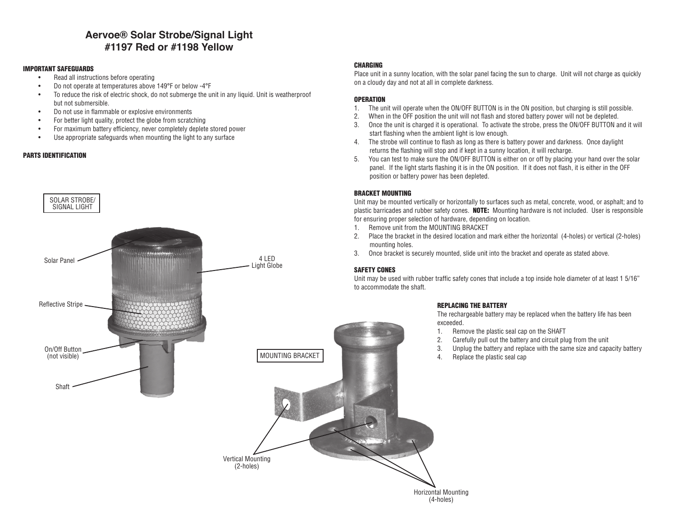### **Aervoe® Solar Strobe/Signal Light #1197 Red or #1198 Yellow**

#### IMPORTANT SAFEGUARDS

- Read all instructions before operating
- Do not operate at temperatures above 149°F or below -4°F
- To reduce the risk of electric shock, do not submerge the unit in any liquid. Unit is weatherproof but not submersible.
- Do not use in flammable or explosive environments
- For better light quality, protect the globe from scratching
- For maximum battery efficiency, never completely deplete stored power
- Use appropriate safeguards when mounting the light to any surface

#### PARTS IDENTIFICATION



#### CHARGING

Place unit in a sunny location, with the solar panel facing the sun to charge. Unit will not charge as quickly on a cloudy day and not at all in complete darkness.

#### **OPERATION**

- 1. The unit will operate when the ON/OFF BUTTON is in the ON position, but charging is still possible.
- 2. When in the OFF position the unit will not flash and stored battery power will not be depleted.
- 3. Once the unit is charged it is operational. To activate the strobe, press the ON/OFF BUTTON and it will start flashing when the ambient light is low enough.
- 4. The strobe will continue to flash as long as there is battery power and darkness. Once daylight returns the flashing will stop and if kept in a sunny location, it will recharge.
- 5. You can test to make sure the ON/OFF BUTTON is either on or off by placing your hand over the solar panel. If the light starts flashing it is in the ON position. If it does not flash, it is either in the OFF position or battery power has been depleted.

Unit may be mounted vertically or horizontally to surfaces such as metal, concrete, wood, or asphalt; and to plastic barricades and rubber safety cones. NOTE: Mounting hardware is not included. User is responsible for ensuring proper selection of hardware, depending on location.

- 1. Remove unit from the MOUNTING BRACKET
- 2. Place the bracket in the desired location and mark either the horizontal (4-holes) or vertical (2-holes) mounting holes.
- 3. Once bracket is securely mounted, slide unit into the bracket and operate as stated above.

Unit may be used with rubber traffic safety cones that include a top inside hole diameter of at least 1 5/16" to accommodate the shaft.

#### REPLACING THE BATTERY

Horizontal Mounting (4-holes)

The rechargeable battery may be replaced when the battery life has been exceeded.

- 1. Remove the plastic seal cap on the SHAFT
- 2. Carefully pull out the battery and circuit plug from the unit
- 3. Unplug the battery and replace with the same size and capacity battery
- 4. Replace the plastic seal cap